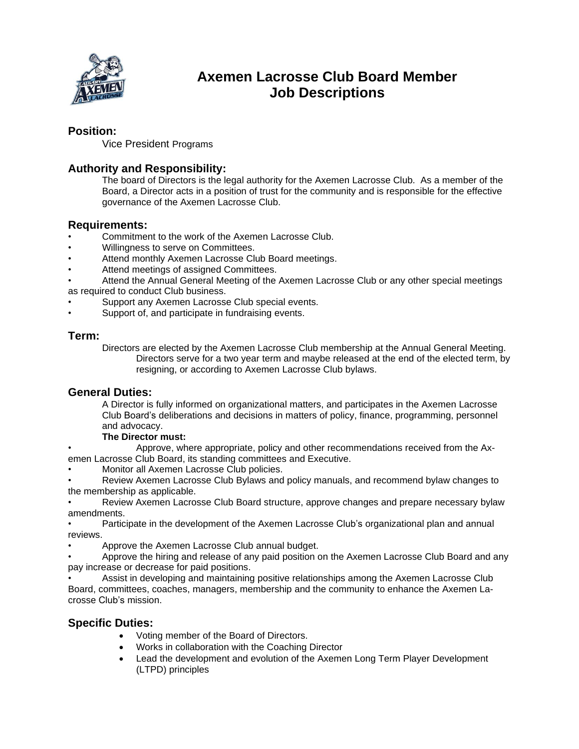

# **Axemen Lacrosse Club Board Member Job Descriptions**

### **Position:**

Vice President Programs

# **Authority and Responsibility:**

The board of Directors is the legal authority for the Axemen Lacrosse Club. As a member of the Board, a Director acts in a position of trust for the community and is responsible for the effective governance of the Axemen Lacrosse Club.

### **Requirements:**

- Commitment to the work of the Axemen Lacrosse Club.
- Willingness to serve on Committees.
- Attend monthly Axemen Lacrosse Club Board meetings.
- Attend meetings of assigned Committees.
- Attend the Annual General Meeting of the Axemen Lacrosse Club or any other special meetings as required to conduct Club business.
- Support any Axemen Lacrosse Club special events.
- Support of, and participate in fundraising events.

### **Term:**

Directors are elected by the Axemen Lacrosse Club membership at the Annual General Meeting. Directors serve for a two year term and maybe released at the end of the elected term, by resigning, or according to Axemen Lacrosse Club bylaws.

#### **General Duties:**

A Director is fully informed on organizational matters, and participates in the Axemen Lacrosse Club Board's deliberations and decisions in matters of policy, finance, programming, personnel and advocacy.

#### **The Director must:**

• Approve, where appropriate, policy and other recommendations received from the Axemen Lacrosse Club Board, its standing committees and Executive.

• Monitor all Axemen Lacrosse Club policies.

• Review Axemen Lacrosse Club Bylaws and policy manuals, and recommend bylaw changes to the membership as applicable.

• Review Axemen Lacrosse Club Board structure, approve changes and prepare necessary bylaw amendments.

• Participate in the development of the Axemen Lacrosse Club's organizational plan and annual reviews.

• Approve the Axemen Lacrosse Club annual budget.

• Approve the hiring and release of any paid position on the Axemen Lacrosse Club Board and any pay increase or decrease for paid positions.

• Assist in developing and maintaining positive relationships among the Axemen Lacrosse Club Board, committees, coaches, managers, membership and the community to enhance the Axemen Lacrosse Club's mission.

# **Specific Duties:**

- Voting member of the Board of Directors.
- Works in collaboration with the Coaching Director
- Lead the development and evolution of the Axemen Long Term Player Development (LTPD) principles